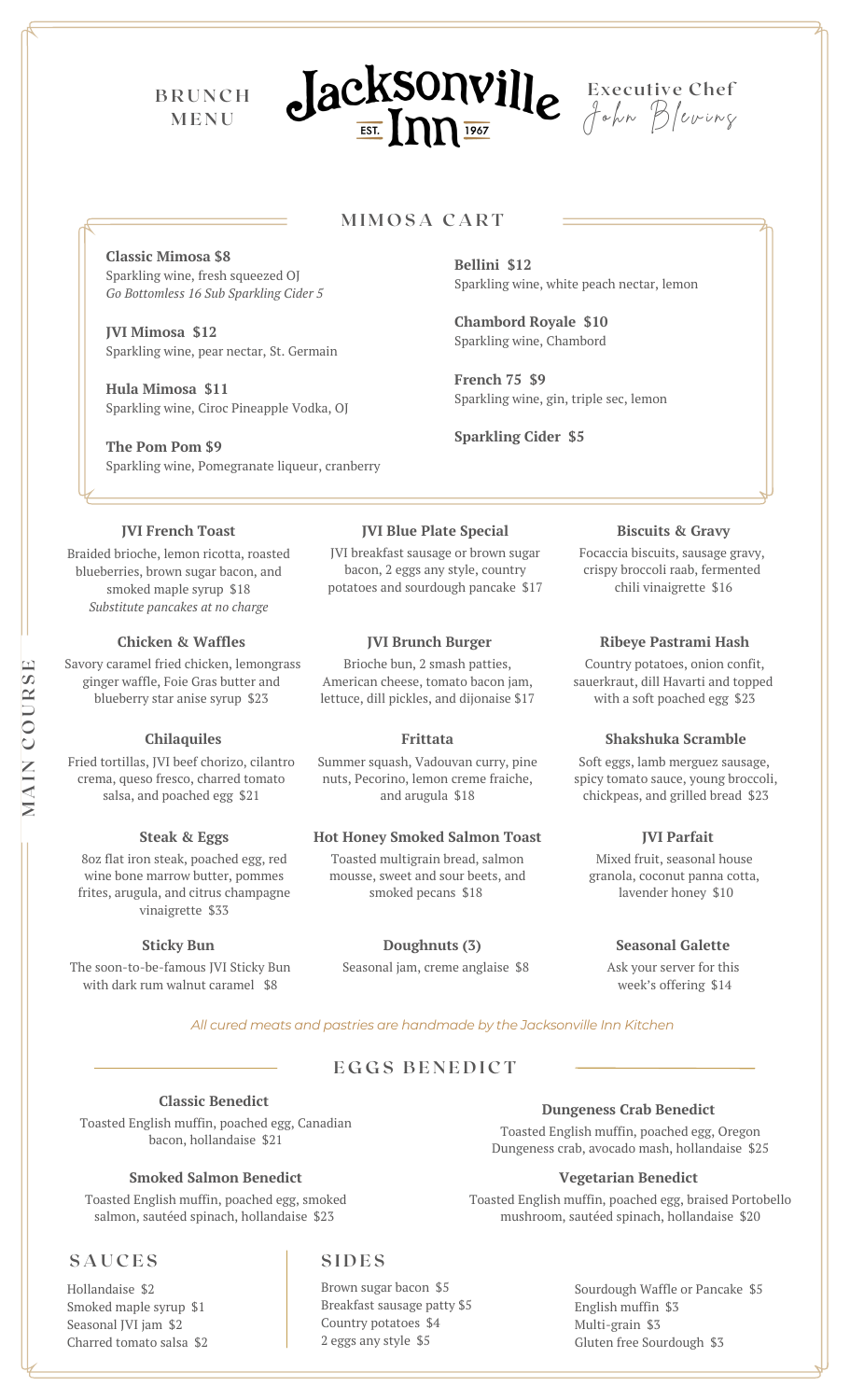**B R U N C H M E N U**





# **M I M O S A C A R T**

**Classic Mimosa \$8** Sparkling wine, fresh squeezed OJ *Go Bottomless 16 Sub Sparkling Cider 5*

**JVI Mimosa \$12** Sparkling wine, pear nectar, St. Germain

**Hula Mimosa \$11** Sparkling wine, Ciroc Pineapple Vodka, OJ

**The Pom Pom \$9** Sparkling wine, Pomegranate liqueur, cranberry

**JVI French Toast**

Braided brioche, lemon ricotta, roasted blueberries, brown sugar bacon, and smoked maple syrup \$18 *Substitute pancakes at no charge*

## **Chicken & Waffles**

Savory caramel fried chicken, lemongrass ginger waffle, Foie Gras butter and blueberry star anise syrup \$23

#### **Chilaquiles**

Fried tortillas, JVI beef chorizo, cilantro crema, queso fresco, charred tomato salsa, and poached egg \$21

### **Steak & Eggs**

8oz flat iron steak, poached egg, red wine bone marrow butter, pommes frites, arugula, and citrus champagne vinaigrette \$33

### **Sticky Bun**

The soon-to-be-famous JVI Sticky Bun with dark rum walnut caramel \$8

**Bellini \$12** Sparkling wine, white peach nectar, lemon

**Chambord Royale \$10** Sparkling wine, Chambord

**French 75 \$9** Sparkling wine, gin, triple sec, lemon

**Sparkling Cider \$5**

#### **JVI Blue Plate Special**

JVI breakfast sausage or brown sugar bacon, 2 eggs any style, country potatoes and sourdough pancake \$17

## **JVI Brunch Burger**

Brioche bun, 2 smash patties, American cheese, tomato bacon jam, lettuce, dill pickles, and dijonaise \$17

**Frittata**

Summer squash, Vadouvan curry, pine nuts, Pecorino, lemon creme fraiche, and arugula \$18

## **Hot Honey Smoked Salmon Toast**

Toasted multigrain bread, salmon mousse, sweet and sour beets, and smoked pecans \$18

**Doughnuts (3)** Seasonal jam, creme anglaise \$8

#### **Biscuits & Gravy**

Focaccia biscuits, sausage gravy, crispy broccoli raab, fermented chili vinaigrette \$16

#### **Ribeye Pastrami Hash**

Country potatoes, onion confit, sauerkraut, dill Havarti and topped with a soft poached egg \$23

#### **Shakshuka Scramble**

Soft eggs, lamb merguez sausage, spicy tomato sauce, young broccoli, chickpeas, and grilled bread \$23

## **JVI Parfait**

Mixed fruit, seasonal house granola, coconut panna cotta, lavender honey \$10

## **Seasonal Galette**

Ask your server for this week's offering \$14

*All cured meats and pastries are handmade by the Jacksonville Inn Kitchen*

# $EGGS$  **BENEDICT**

**Classic Benedict** Toasted English muffin, poached egg, Canadian bacon, hollandaise \$21

## **Smoked Salmon Benedict**

Toasted English muffin, poached egg, smoked salmon, sautéed spinach, hollandaise \$23

# **S A U C E S S I D E S**

Hollandaise \$2 Smoked maple syrup \$1 Seasonal JVI jam \$2 Charred tomato salsa \$2

Brown sugar bacon \$5 Breakfast sausage patty \$5 Country potatoes \$4 2 eggs any style \$5

# **Dungeness Crab Benedict**

Toasted English muffin, poached egg, Oregon Dungeness crab, avocado mash, hollandaise \$25

## **Vegetarian Benedict**

Toasted English muffin, poached egg, braised Portobello mushroom, sautéed spinach, hollandaise \$20

> Sourdough Waffle or Pancake \$5 English muffin \$3 Multi-grain \$3 Gluten free Sourdough \$3

**SE**